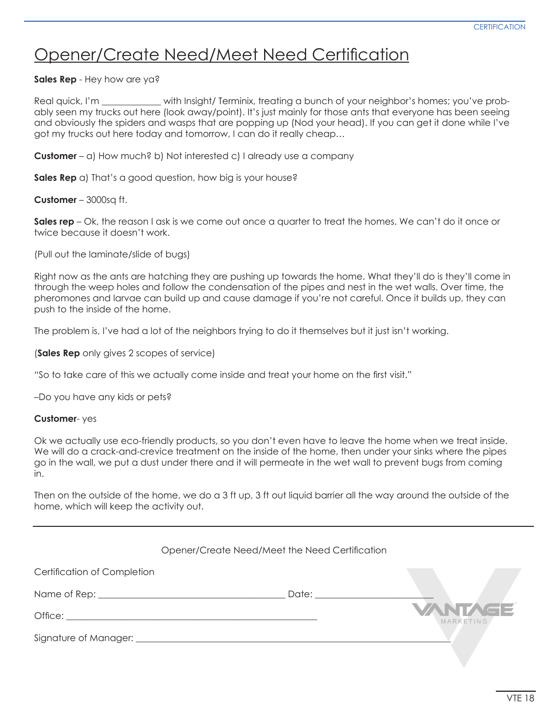## Opener/Create Need/Meet Need Certification

**Sales Rep** - Hey how are ya?

Real quick, I'm \_\_\_\_\_\_\_\_\_\_\_\_\_ with Insight/ Terminix, treating a bunch of your neighbor's homes; you've probably seen my trucks out here (look away/point). It's just mainly for those ants that everyone has been seeing and obviously the spiders and wasps that are popping up (Nod your head). If you can get it done while I've got my trucks out here today and tomorrow, I can do it really cheap…

**Customer** – a) How much? b) Not interested c) I already use a company

**Sales Rep** a) That's a good question, how big is your house?

**Customer** – 3000sq ft.

**Sales rep** – Ok, the reason I ask is we come out once a quarter to treat the homes. We can't do it once or twice because it doesn't work.

(Pull out the laminate/slide of bugs)

Right now as the ants are hatching they are pushing up towards the home. What they'll do is they'll come in through the weep holes and follow the condensation of the pipes and nest in the wet walls. Over time, the pheromones and larvae can build up and cause damage if you're not careful. Once it builds up, they can push to the inside of the home.

The problem is, I've had a lot of the neighbors trying to do it themselves but it just isn't working.

(**Sales Rep** only gives 2 scopes of service)

"So to take care of this we actually come inside and treat your home on the frst visit."

–Do you have any kids or pets?

#### **Customer**- yes

Ok we actually use eco-friendly products, so you don't even have to leave the home when we treat inside. We will do a crack-and-crevice treatment on the inside of the home, then under your sinks where the pipes go in the wall, we put a dust under there and it will permeate in the wet wall to prevent bugs from coming in.

Then on the outside of the home, we do a 3 ft up, 3 ft out liquid barrier all the way around the outside of the home, which will keep the activity out.

|                                                                                                                                                                                                                                | Opener/Create Need/Meet the Need Certification                           |                             |
|--------------------------------------------------------------------------------------------------------------------------------------------------------------------------------------------------------------------------------|--------------------------------------------------------------------------|-----------------------------|
| Certification of Completion                                                                                                                                                                                                    |                                                                          |                             |
|                                                                                                                                                                                                                                |                                                                          |                             |
| Office: The contract of the contract of the contract of the contract of the contract of the contract of the contract of the contract of the contract of the contract of the contract of the contract of the contract of the co |                                                                          | <b>VANTAGE</b><br>MARKETING |
|                                                                                                                                                                                                                                | Signature of Manager: <u>contract and the set of the set of Manager:</u> |                             |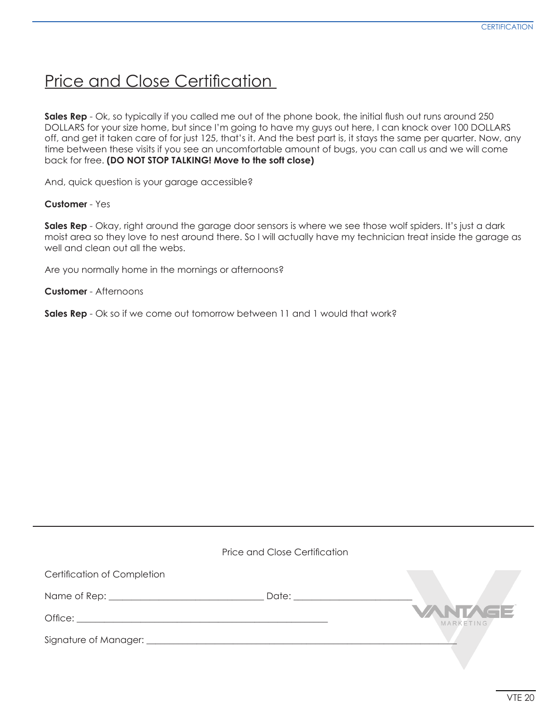### Price and Close Certification

**Sales Rep** - Ok, so typically if you called me out of the phone book, the initial flush out runs around 250 DOLLARS for your size home, but since I'm going to have my guys out here, I can knock over 100 DOLLARS off, and get it taken care of for just 125, that's it. And the best part is, it stays the same per quarter. Now, any time between these visits if you see an uncomfortable amount of bugs, you can call us and we will come back for free. **(DO NOT STOP TALKING! Move to the soft close)**

And, quick question is your garage accessible?

#### **Customer** - Yes

**Sales Rep** - Okay, right around the garage door sensors is where we see those wolf spiders. It's just a dark moist area so they love to nest around there. So I will actually have my technician treat inside the garage as well and clean out all the webs.

Are you normally home in the mornings or afternoons?

**Customer** - Afternoons

**Sales Rep** - Ok so if we come out tomorrow between 11 and 1 would that work?

|                             | Price and Close Certification |                             |
|-----------------------------|-------------------------------|-----------------------------|
| Certification of Completion |                               |                             |
|                             |                               |                             |
|                             |                               | <b>VANTAGE</b><br>MARKETING |
|                             |                               |                             |
|                             |                               |                             |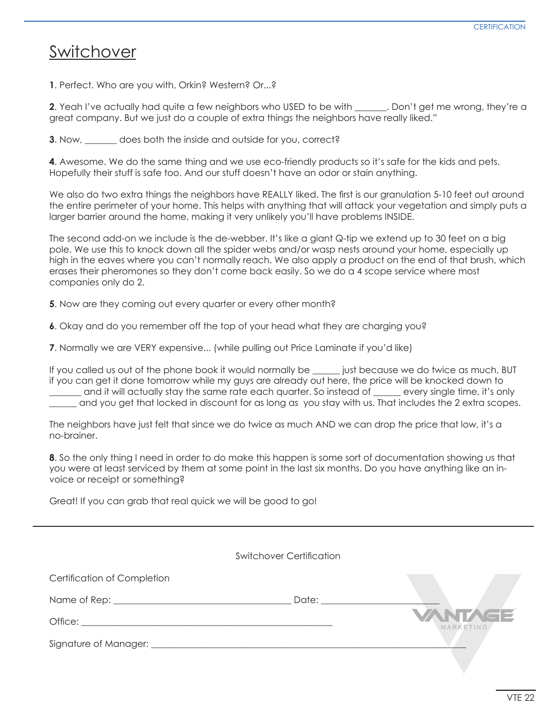### Switchover

**1**. Perfect. Who are you with, Orkin? Western? Or...?

**2.** Yeah I've actually had quite a few neighbors who USED to be with \_\_\_\_\_\_\_. Don't get me wrong, they're a great company. But we just do a couple of extra things the neighbors have really liked."

**3**. Now, \_\_\_\_\_\_\_ does both the inside and outside for you, correct?

**4**. Awesome. We do the same thing and we use eco-friendly products so it's safe for the kids and pets. Hopefully their stuff is safe too. And our stuff doesn't have an odor or stain anything.

We also do two extra things the neighbors have REALLY liked. The first is our granulation 5-10 feet out around the entire perimeter of your home. This helps with anything that will attack your vegetation and simply puts a larger barrier around the home, making it very unlikely you'll have problems INSIDE.

The second add-on we include is the de-webber. It's like a giant Q-tip we extend up to 30 feet on a big pole. We use this to knock down all the spider webs and/or wasp nests around your home, especially up high in the eaves where you can't normally reach. We also apply a product on the end of that brush, which erases their pheromones so they don't come back easily. So we do a 4 scope service where most companies only do 2.

**5**. Now are they coming out every quarter or every other month?

**6**. Okay and do you remember off the top of your head what they are charging you?

**7**. Normally we are VERY expensive... (while pulling out Price Laminate if you'd like)

If you called us out of the phone book it would normally be \_\_\_\_\_\_ just because we do twice as much, BUT if you can get it done tomorrow while my guys are already out here, the price will be knocked down to \_\_\_\_\_\_\_ and it will actually stay the same rate each quarter. So instead of \_\_\_\_\_\_ every single time, it's only \_\_\_\_\_\_ and you get that locked in discount for as long as you stay with us. That includes the 2 extra scopes.

The neighbors have just felt that since we do twice as much AND we can drop the price that low, it's a no-brainer.

**8**. So the only thing I need in order to do make this happen is some sort of documentation showing us that you were at least serviced by them at some point in the last six months. Do you have anything like an invoice or receipt or something?

Great! If you can grab that real quick we will be good to go!

|                                                                                                                                                                                                                                | Switchover Certification |                             |
|--------------------------------------------------------------------------------------------------------------------------------------------------------------------------------------------------------------------------------|--------------------------|-----------------------------|
| Certification of Completion                                                                                                                                                                                                    |                          |                             |
|                                                                                                                                                                                                                                | Date:                    |                             |
| Office: the contract of the contract of the contract of the contract of the contract of the contract of the contract of the contract of the contract of the contract of the contract of the contract of the contract of the co |                          | <b>VANTAGE</b><br>MARKETING |
|                                                                                                                                                                                                                                |                          |                             |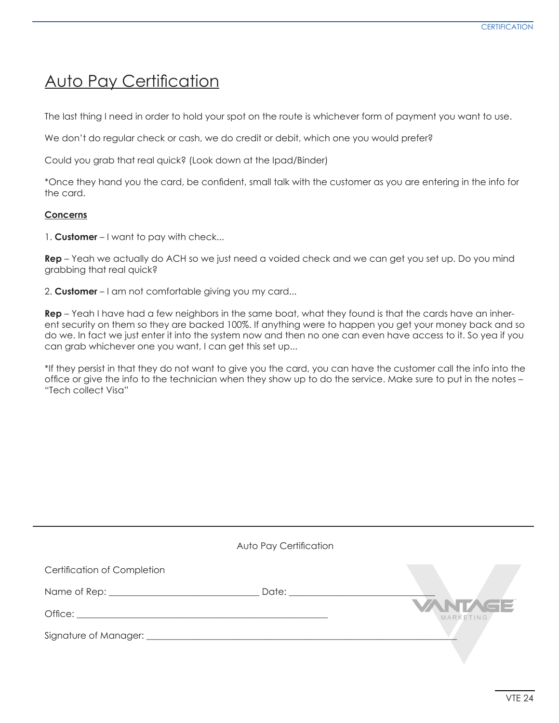### **Auto Pay Certification**

The last thing I need in order to hold your spot on the route is whichever form of payment you want to use.

We don't do regular check or cash, we do credit or debit, which one you would prefer?

Could you grab that real quick? (Look down at the Ipad/Binder)

\*Once they hand you the card, be confdent, small talk with the customer as you are entering in the info for the card.

### **Concerns**

1. **Customer** – I want to pay with check...

**Rep** – Yeah we actually do ACH so we just need a voided check and we can get you set up. Do you mind grabbing that real quick?

2. **Customer** – I am not comfortable giving you my card...

**Rep** – Yeah I have had a few neighbors in the same boat, what they found is that the cards have an inherent security on them so they are backed 100%. If anything were to happen you get your money back and so do we. In fact we just enter it into the system now and then no one can even have access to it. So yea if you can grab whichever one you want, I can get this set up...

\*If they persist in that they do not want to give you the card, you can have the customer call the info into the offce or give the info to the technician when they show up to do the service. Make sure to put in the notes – "Tech collect Visa"

|                             | Auto Pay Certification                                                                                                                                                                                                         |                             |
|-----------------------------|--------------------------------------------------------------------------------------------------------------------------------------------------------------------------------------------------------------------------------|-----------------------------|
| Certification of Completion |                                                                                                                                                                                                                                |                             |
|                             | Date: the contract of the contract of the contract of the contract of the contract of the contract of the contract of the contract of the contract of the contract of the contract of the contract of the contract of the cont |                             |
|                             |                                                                                                                                                                                                                                | <b>VANTAGE</b><br>MARKETING |
|                             |                                                                                                                                                                                                                                |                             |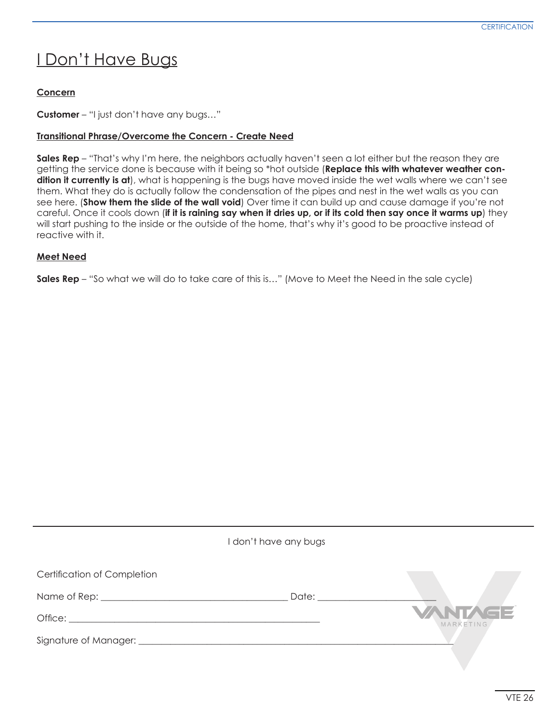# I Don't Have Bugs

### **Concern**

**Customer** – "I just don't have any bugs…"

### **Transitional Phrase/Overcome the Concern - Create Need**

**Sales Rep** – "That's why I'm here, the neighbors actually haven't seen a lot either but the reason they are getting the service done is because with it being so \*hot outside (**Replace this with whatever weather condition it currently is at**), what is happening is the bugs have moved inside the wet walls where we can't see them. What they do is actually follow the condensation of the pipes and nest in the wet walls as you can see here. (**Show them the slide of the wall void**) Over time it can build up and cause damage if you're not careful. Once it cools down (**if it is raining say when it dries up, or if its cold then say once it warms up**) they will start pushing to the inside or the outside of the home, that's why it's good to be proactive instead of reactive with it.

### **Meet Need**

**Sales Rep** – "So what we will do to take care of this is…" (Move to Meet the Need in the sale cycle)

|                                                                                                                                                                                                                                | don't have any bugs |                             |
|--------------------------------------------------------------------------------------------------------------------------------------------------------------------------------------------------------------------------------|---------------------|-----------------------------|
| <b>Certification of Completion</b>                                                                                                                                                                                             |                     |                             |
|                                                                                                                                                                                                                                | Date:               |                             |
|                                                                                                                                                                                                                                |                     | <b>VANTAGE</b><br>MARKETING |
| Signature of Manager: 1999 Manager: 1999 Manager: 1999 Manager: 1999 Manager: 1999 Management 1999 Management Annual Management 1999 Management 1999 Management 1999 Management 1999 Management 1999 Management 1999 Managemen |                     |                             |
|                                                                                                                                                                                                                                |                     |                             |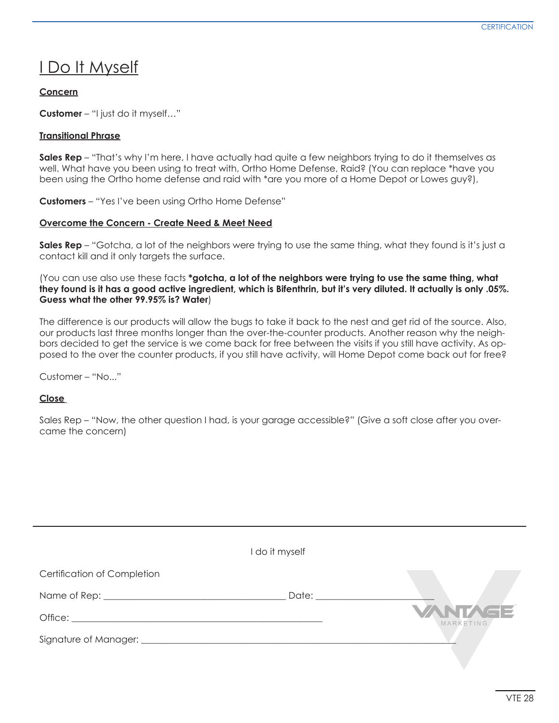### I Do It Myself

### **Concern**

**Customer** – "I just do it myself…"

### **Transitional Phrase**

**Sales Rep** – "That's why I'm here, I have actually had quite a few neighbors trying to do it themselves as well. What have you been using to treat with, Ortho Home Defense, Raid? (You can replace \*have you been using the Ortho home defense and raid with \*are you more of a Home Depot or Lowes guy?),

**Customers** – "Yes I've been using Ortho Home Defense"

### **Overcome the Concern - Create Need & Meet Need**

**Sales Rep** – "Gotcha, a lot of the neighbors were trying to use the same thing, what they found is it's just a contact kill and it only targets the surface.

(You can use also use these facts **\*gotcha, a lot of the neighbors were trying to use the same thing, what they found is it has a good active ingredient, which is Bifenthrin, but it's very diluted. It actually is only .05%. Guess what the other 99.95% is? Water**)

The difference is our products will allow the bugs to take it back to the nest and get rid of the source. Also, our products last three months longer than the over-the-counter products. Another reason why the neighbors decided to get the service is we come back for free between the visits if you still have activity. As opposed to the over the counter products, if you still have activity, will Home Depot come back out for free?

Customer – "No..."

### **Close**

Sales Rep – "Now, the other question I had, is your garage accessible?" (Give a soft close after you overcame the concern)

|                                    | I do it myself |                             |
|------------------------------------|----------------|-----------------------------|
| <b>Certification of Completion</b> |                |                             |
|                                    | Date:          |                             |
|                                    |                | <b>VANTAGE</b><br>MARKETING |
| Signature of Manager: ________     |                |                             |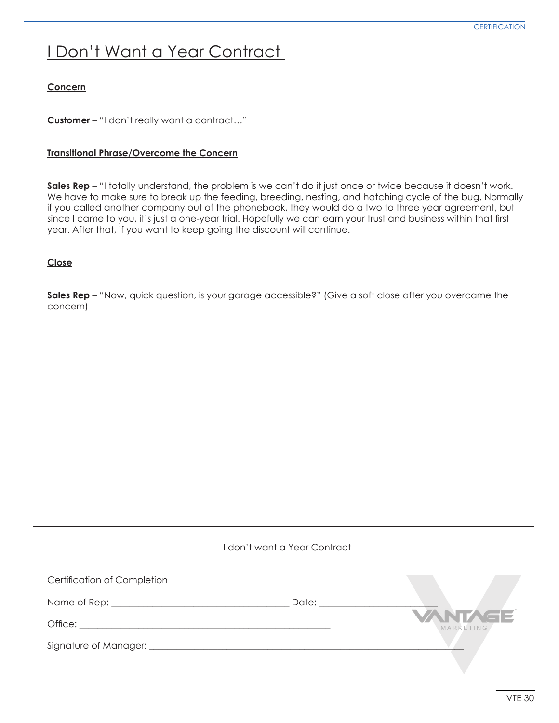# I Don't Want a Year Contract

### **Concern**

**Customer** – "I don't really want a contract…"

### **Transitional Phrase/Overcome the Concern**

**Sales Rep** – "I totally understand, the problem is we can't do it just once or twice because it doesn't work. We have to make sure to break up the feeding, breeding, nesting, and hatching cycle of the bug. Normally if you called another company out of the phonebook, they would do a two to three year agreement, but since I came to you, it's just a one-year trial. Hopefully we can earn your trust and business within that frst year. After that, if you want to keep going the discount will continue.

### **Close**

**Sales Rep** - "Now, quick question, is your garage accessible?" (Give a soft close after you overcame the concern)

|                             | I don't want a Year Contract |                             |
|-----------------------------|------------------------------|-----------------------------|
| Certification of Completion |                              |                             |
|                             | Date: ______                 |                             |
| Office:                     |                              | <b>VANTAGE</b><br>MARKETING |
|                             |                              |                             |
|                             |                              |                             |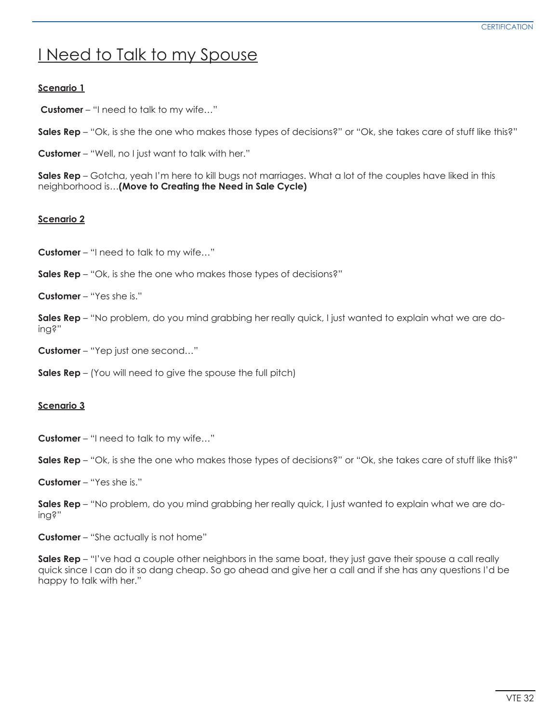## I Need to Talk to my Spouse

### **Scenario 1**

 **Customer** – "I need to talk to my wife…"

**Sales Rep** – "Ok, is she the one who makes those types of decisions?" or "Ok, she takes care of stuff like this?"

**Customer** – "Well, no I just want to talk with her."

**Sales Rep** – Gotcha, yeah I'm here to kill bugs not marriages. What a lot of the couples have liked in this neighborhood is…**(Move to Creating the Need in Sale Cycle)**

### **Scenario 2**

**Customer** – "I need to talk to my wife…"

**Sales Rep** – "Ok, is she the one who makes those types of decisions?"

**Customer** – "Yes she is."

**Sales Rep** – "No problem, do you mind grabbing her really quick, I just wanted to explain what we are doing?"

**Customer** – "Yep just one second…"

**Sales Rep** – (You will need to give the spouse the full pitch)

#### **Scenario 3**

**Customer** – "I need to talk to my wife…"

**Sales Rep** – "Ok, is she the one who makes those types of decisions?" or "Ok, she takes care of stuff like this?"

**Customer** – "Yes she is."

**Sales Rep** – "No problem, do you mind grabbing her really quick, I just wanted to explain what we are doing?"

**Customer** – "She actually is not home"

**Sales Rep** – "I've had a couple other neighbors in the same boat, they just gave their spouse a call really quick since I can do it so dang cheap. So go ahead and give her a call and if she has any questions I'd be happy to talk with her."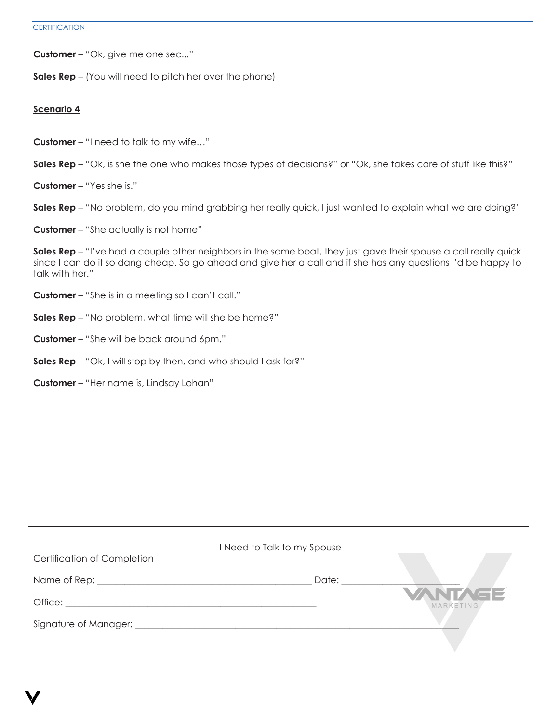**Customer** – "Ok, give me one sec..."

**Sales Rep** – (You will need to pitch her over the phone)

#### **Scenario 4**

- **Customer** "I need to talk to my wife…"
- **Sales Rep** "Ok, is she the one who makes those types of decisions?" or "Ok, she takes care of stuff like this?"
- **Customer** "Yes she is."
- **Sales Rep** "No problem, do you mind grabbing her really quick, I just wanted to explain what we are doing?"
- **Customer** "She actually is not home"

**Sales Rep** – "I've had a couple other neighbors in the same boat, they just gave their spouse a call really quick since I can do it so dang cheap. So go ahead and give her a call and if she has any questions I'd be happy to talk with her."

- **Customer**  "She is in a meeting so I can't call."
- **Sales Rep**  "No problem, what time will she be home?"
- **Customer** "She will be back around 6pm."
- **Sales Rep** "Ok, I will stop by then, and who should I ask for?"
- **Customer** "Her name is, Lindsay Lohan"

| <b>Certification of Completion</b>                | I Need to Talk to my Spouse |                      |
|---------------------------------------------------|-----------------------------|----------------------|
| Name of Rep: the contract of the contract of Rep: | Date:                       |                      |
|                                                   |                             | VANTAGE<br>MARKETING |
| Signature of Manager: __________                  |                             |                      |
|                                                   |                             |                      |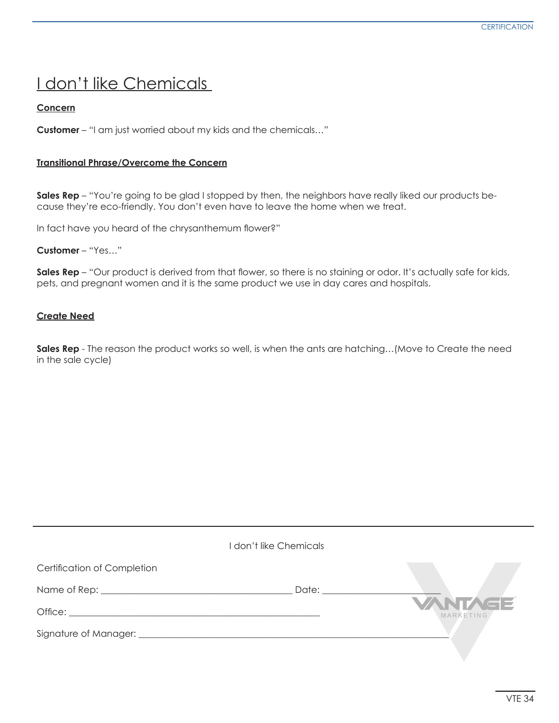## I don't like Chemicals

### **Concern**

**Customer** – "I am just worried about my kids and the chemicals…"

#### **Transitional Phrase/Overcome the Concern**

**Sales Rep** – "You're going to be glad I stopped by then, the neighbors have really liked our products because they're eco-friendly. You don't even have to leave the home when we treat.

In fact have you heard of the chrysanthemum fower?"

**Customer** – "Yes…"

**Sales Rep** – "Our product is derived from that flower, so there is no staining or odor. It's actually safe for kids, pets, and pregnant women and it is the same product we use in day cares and hospitals.

#### **Create Need**

**Sales Rep** - The reason the product works so well, is when the ants are hatching…(Move to Create the need in the sale cycle)

| I don't like Chemicals             |                                                                                                                                                                                                                                |                             |
|------------------------------------|--------------------------------------------------------------------------------------------------------------------------------------------------------------------------------------------------------------------------------|-----------------------------|
| <b>Certification of Completion</b> |                                                                                                                                                                                                                                |                             |
|                                    | Date: the contract of the contract of the contract of the contract of the contract of the contract of the contract of the contract of the contract of the contract of the contract of the contract of the contract of the cont |                             |
|                                    |                                                                                                                                                                                                                                | <b>VANTAGE</b><br>MARKETING |
|                                    |                                                                                                                                                                                                                                |                             |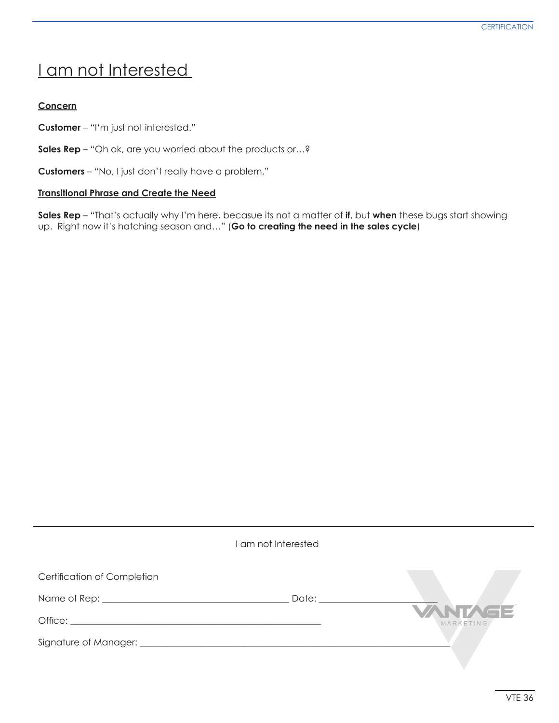## I am not Interested

### **Concern**

**Customer** – "I'm just not interested."

**Sales Rep** – "Oh ok, are you worried about the products or...?

**Customers** – "No, I just don't really have a problem."

### **Transitional Phrase and Create the Need**

**Sales Rep** – "That's actually why I'm here, becasue its not a matter of **if**, but **when** these bugs start showing up. Right now it's hatching season and…" (**Go to creating the need in the sales cycle**)

|                                    | am not Interested |                      |
|------------------------------------|-------------------|----------------------|
| <b>Certification of Completion</b> |                   |                      |
|                                    | Date: __________  |                      |
|                                    |                   | VANTAGE<br>MARKETING |
|                                    |                   |                      |
|                                    |                   |                      |